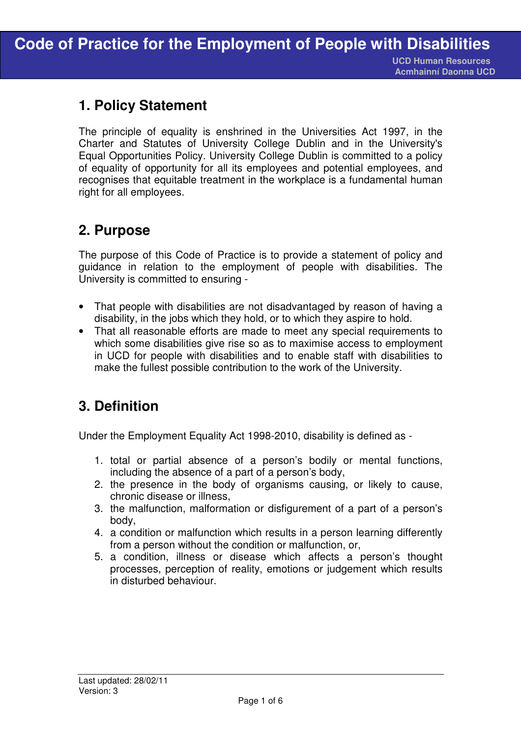I

 **Acmhainní Daonna UCD**

## **1. Policy Statement**

The principle of equality is enshrined in the Universities Act 1997, in the Charter and Statutes of University College Dublin and in the University's Equal Opportunities Policy. University College Dublin is committed to a policy of equality of opportunity for all its employees and potential employees, and recognises that equitable treatment in the workplace is a fundamental human right for all employees.

# **2. Purpose**

The purpose of this Code of Practice is to provide a statement of policy and guidance in relation to the employment of people with disabilities. The University is committed to ensuring -

- That people with disabilities are not disadvantaged by reason of having a disability, in the jobs which they hold, or to which they aspire to hold.
- That all reasonable efforts are made to meet any special requirements to which some disabilities give rise so as to maximise access to employment in UCD for people with disabilities and to enable staff with disabilities to make the fullest possible contribution to the work of the University.

# **3. Definition**

Under the Employment Equality Act 1998-2010, disability is defined as -

- 1. total or partial absence of a person's bodily or mental functions, including the absence of a part of a person's body,
- 2. the presence in the body of organisms causing, or likely to cause, chronic disease or illness,
- 3. the malfunction, malformation or disfigurement of a part of a person's body,
- 4. a condition or malfunction which results in a person learning differently from a person without the condition or malfunction, or,
- 5. a condition, illness or disease which affects a person's thought processes, perception of reality, emotions or judgement which results in disturbed behaviour.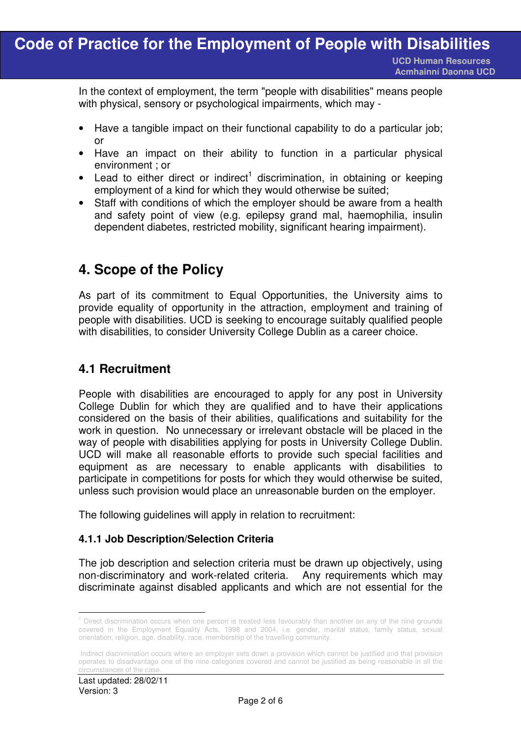I In the context of employment, the term "people with disabilities" means people with physical, sensory or psychological impairments, which may -

- Have a tangible impact on their functional capability to do a particular job; or
- Have an impact on their ability to function in a particular physical environment ; or
- $\bullet$  Lead to either direct or indirect<sup>1</sup> discrimination, in obtaining or keeping employment of a kind for which they would otherwise be suited;
- Staff with conditions of which the employer should be aware from a health and safety point of view (e.g. epilepsy grand mal, haemophilia, insulin dependent diabetes, restricted mobility, significant hearing impairment).

## **4. Scope of the Policy**

As part of its commitment to Equal Opportunities, the University aims to provide equality of opportunity in the attraction, employment and training of people with disabilities. UCD is seeking to encourage suitably qualified people with disabilities, to consider University College Dublin as a career choice.

### **4.1 Recruitment**

People with disabilities are encouraged to apply for any post in University College Dublin for which they are qualified and to have their applications considered on the basis of their abilities, qualifications and suitability for the work in question. No unnecessary or irrelevant obstacle will be placed in the way of people with disabilities applying for posts in University College Dublin. UCD will make all reasonable efforts to provide such special facilities and equipment as are necessary to enable applicants with disabilities to participate in competitions for posts for which they would otherwise be suited, unless such provision would place an unreasonable burden on the employer.

The following guidelines will apply in relation to recruitment:

#### **4.1.1 Job Description/Selection Criteria**

The job description and selection criteria must be drawn up objectively, using non-discriminatory and work-related criteria. Any requirements which may discriminate against disabled applicants and which are not essential for the

 1 Direct discrimination occurs when one person is treated less favourably than another on any of the nine grounds covered in the Employment Equality Acts, 1998 and 2004, i.e. gender, marital status, family status, sexual orientation, religion, age, disability, race, membership of the travelling community.

Indirect discrimination occurs where an employer sets down a provision which cannot be justified and that provision operates to disadvantage one of the nine categories covered and cannot be justified as being reasonable in all the circumstances of the case.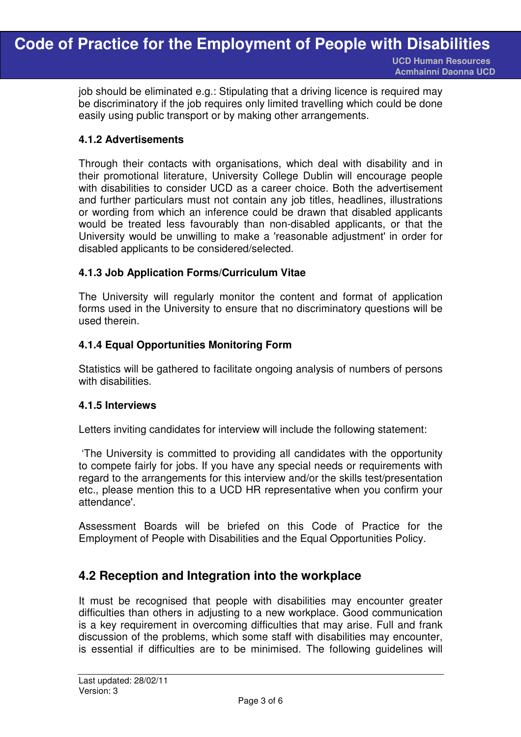job should be eliminated e.g.: Stipulating that a driving licence is required may be discriminatory if the job requires only limited travelling which could be done easily using public transport or by making other arrangements.

I

#### **4.1.2 Advertisements**

Through their contacts with organisations, which deal with disability and in their promotional literature, University College Dublin will encourage people with disabilities to consider UCD as a career choice. Both the advertisement and further particulars must not contain any job titles, headlines, illustrations or wording from which an inference could be drawn that disabled applicants would be treated less favourably than non-disabled applicants, or that the University would be unwilling to make a 'reasonable adjustment' in order for disabled applicants to be considered/selected.

#### **4.1.3 Job Application Forms/Curriculum Vitae**

The University will regularly monitor the content and format of application forms used in the University to ensure that no discriminatory questions will be used therein.

#### **4.1.4 Equal Opportunities Monitoring Form**

Statistics will be gathered to facilitate ongoing analysis of numbers of persons with disabilities.

#### **4.1.5 Interviews**

Letters inviting candidates for interview will include the following statement:

 'The University is committed to providing all candidates with the opportunity to compete fairly for jobs. If you have any special needs or requirements with regard to the arrangements for this interview and/or the skills test/presentation etc., please mention this to a UCD HR representative when you confirm your attendance'.

Assessment Boards will be briefed on this Code of Practice for the Employment of People with Disabilities and the Equal Opportunities Policy.

#### **4.2 Reception and Integration into the workplace**

It must be recognised that people with disabilities may encounter greater difficulties than others in adjusting to a new workplace. Good communication is a key requirement in overcoming difficulties that may arise. Full and frank discussion of the problems, which some staff with disabilities may encounter, is essential if difficulties are to be minimised. The following guidelines will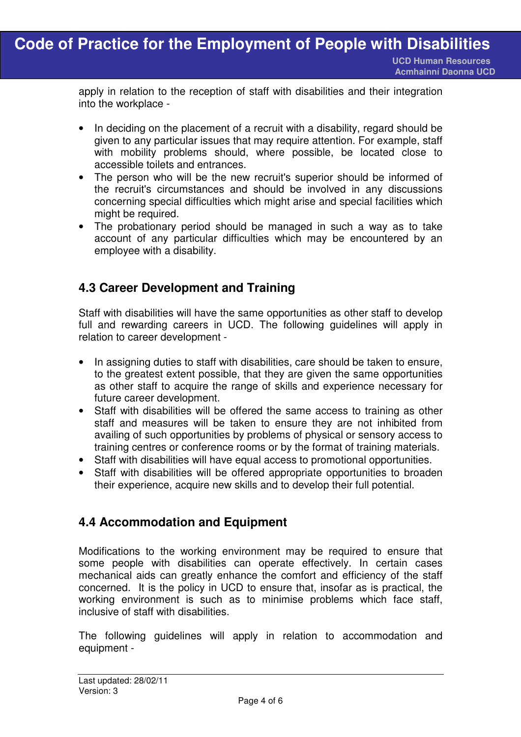apply in relation to the reception of staff with disabilities and their integration into the workplace -

- In deciding on the placement of a recruit with a disability, regard should be given to any particular issues that may require attention. For example, staff with mobility problems should, where possible, be located close to accessible toilets and entrances.
- The person who will be the new recruit's superior should be informed of the recruit's circumstances and should be involved in any discussions concerning special difficulties which might arise and special facilities which might be required.
- The probationary period should be managed in such a way as to take account of any particular difficulties which may be encountered by an employee with a disability.

### **4.3 Career Development and Training**

Staff with disabilities will have the same opportunities as other staff to develop full and rewarding careers in UCD. The following guidelines will apply in relation to career development -

- In assigning duties to staff with disabilities, care should be taken to ensure, to the greatest extent possible, that they are given the same opportunities as other staff to acquire the range of skills and experience necessary for future career development.
- Staff with disabilities will be offered the same access to training as other staff and measures will be taken to ensure they are not inhibited from availing of such opportunities by problems of physical or sensory access to training centres or conference rooms or by the format of training materials.
- Staff with disabilities will have equal access to promotional opportunities.
- Staff with disabilities will be offered appropriate opportunities to broaden their experience, acquire new skills and to develop their full potential.

### **4.4 Accommodation and Equipment**

Modifications to the working environment may be required to ensure that some people with disabilities can operate effectively. In certain cases mechanical aids can greatly enhance the comfort and efficiency of the staff concerned. It is the policy in UCD to ensure that, insofar as is practical, the working environment is such as to minimise problems which face staff, inclusive of staff with disabilities.

The following guidelines will apply in relation to accommodation and equipment -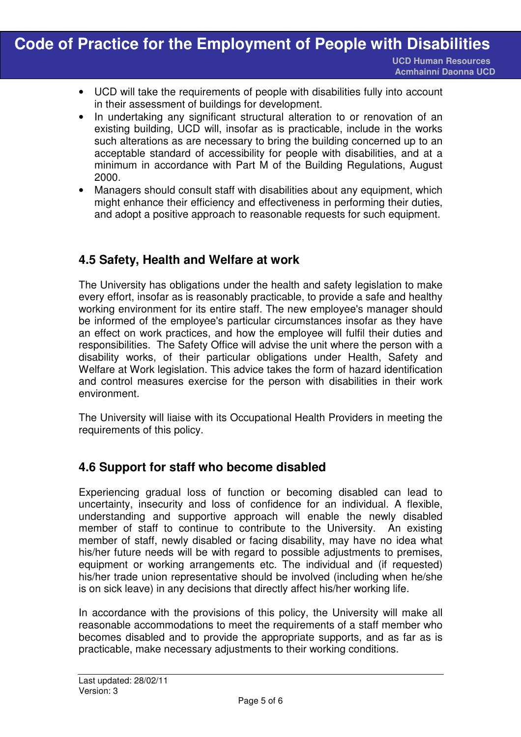- I • UCD will take the requirements of people with disabilities fully into account in their assessment of buildings for development.
- In undertaking any significant structural alteration to or renovation of an existing building, UCD will, insofar as is practicable, include in the works such alterations as are necessary to bring the building concerned up to an acceptable standard of accessibility for people with disabilities, and at a minimum in accordance with Part M of the Building Regulations, August 2000.
- Managers should consult staff with disabilities about any equipment, which might enhance their efficiency and effectiveness in performing their duties, and adopt a positive approach to reasonable requests for such equipment.

### **4.5 Safety, Health and Welfare at work**

The University has obligations under the health and safety legislation to make every effort, insofar as is reasonably practicable, to provide a safe and healthy working environment for its entire staff. The new employee's manager should be informed of the employee's particular circumstances insofar as they have an effect on work practices, and how the employee will fulfil their duties and responsibilities. The Safety Office will advise the unit where the person with a disability works, of their particular obligations under Health, Safety and Welfare at Work legislation. This advice takes the form of hazard identification and control measures exercise for the person with disabilities in their work environment.

The University will liaise with its Occupational Health Providers in meeting the requirements of this policy.

#### **4.6 Support for staff who become disabled**

Experiencing gradual loss of function or becoming disabled can lead to uncertainty, insecurity and loss of confidence for an individual. A flexible, understanding and supportive approach will enable the newly disabled member of staff to continue to contribute to the University. An existing member of staff, newly disabled or facing disability, may have no idea what his/her future needs will be with regard to possible adjustments to premises. equipment or working arrangements etc. The individual and (if requested) his/her trade union representative should be involved (including when he/she is on sick leave) in any decisions that directly affect his/her working life.

In accordance with the provisions of this policy, the University will make all reasonable accommodations to meet the requirements of a staff member who becomes disabled and to provide the appropriate supports, and as far as is practicable, make necessary adjustments to their working conditions.